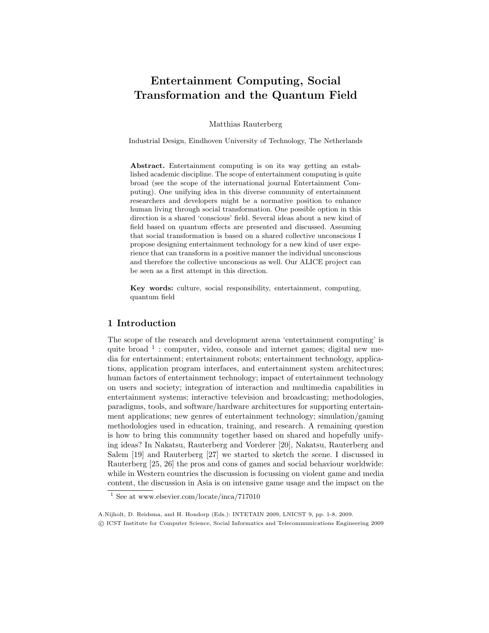# Entertainment Computing, Social Transformation and the Quantum Field

Matthias Rauterberg

Industrial Design, Eindhoven University of Technology, The Netherlands

Abstract. Entertainment computing is on its way getting an established academic discipline. The scope of entertainment computing is quite broad (see the scope of the international journal Entertainment Computing). One unifying idea in this diverse community of entertainment researchers and developers might be a normative position to enhance human living through social transformation. One possible option in this direction is a shared 'conscious' field. Several ideas about a new kind of field based on quantum effects are presented and discussed. Assuming that social transformation is based on a shared collective unconscious I propose designing entertainment technology for a new kind of user experience that can transform in a positive manner the individual unconscious and therefore the collective unconscious as well. Our ALICE project can be seen as a first attempt in this direction.

Key words: culture, social responsibility, entertainment, computing, quantum field

# 1 Introduction

The scope of the research and development arena 'entertainment computing' is quite broad <sup>1</sup> : computer, video, console and internet games; digital new media for entertainment; entertainment robots; entertainment technology, applications, application program interfaces, and entertainment system architectures; human factors of entertainment technology; impact of entertainment technology on users and society; integration of interaction and multimedia capabilities in entertainment systems; interactive television and broadcasting; methodologies, paradigms, tools, and software/hardware architectures for supporting entertainment applications; new genres of entertainment technology; simulation/gaming methodologies used in education, training, and research. A remaining question is how to bring this community together based on shared and hopefully unifying ideas? In Nakatsu, Rauterberg and Vorderer [20], Nakatsu, Rauterberg and Salem [19] and Rauterberg [27] we started to sketch the scene. I discussed in Rauterberg [25, 26] the pros and cons of games and social behaviour worldwide: while in Western countries the discussion is focussing on violent game and media content, the discussion in Asia is on intensive game usage and the impact on the

<sup>&</sup>lt;sup>1</sup> See at www.elsevier.com/locate/inca/717010

A.Nijholt, D. Reidsma, and H. Hondorp (Eds.): INTETAIN 2009, LNICST 9, pp. 1-8, 2009. c ICST Institute for Computer Science, Social Informatics and Telecommunications Engineering 2009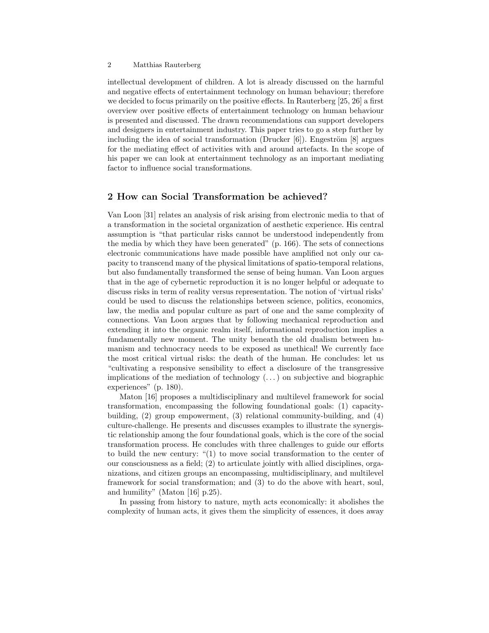#### 2 Matthias Rauterberg

intellectual development of children. A lot is already discussed on the harmful and negative effects of entertainment technology on human behaviour; therefore we decided to focus primarily on the positive effects. In Rauterberg [25, 26] a first overview over positive effects of entertainment technology on human behaviour is presented and discussed. The drawn recommendations can support developers and designers in entertainment industry. This paper tries to go a step further by including the idea of social transformation (Drucker  $[6]$ ). Engeström  $[8]$  argues for the mediating effect of activities with and around artefacts. In the scope of his paper we can look at entertainment technology as an important mediating factor to influence social transformations.

### 2 How can Social Transformation be achieved?

Van Loon [31] relates an analysis of risk arising from electronic media to that of a transformation in the societal organization of aesthetic experience. His central assumption is "that particular risks cannot be understood independently from the media by which they have been generated" (p. 166). The sets of connections electronic communications have made possible have amplified not only our capacity to transcend many of the physical limitations of spatio-temporal relations, but also fundamentally transformed the sense of being human. Van Loon argues that in the age of cybernetic reproduction it is no longer helpful or adequate to discuss risks in term of reality versus representation. The notion of 'virtual risks' could be used to discuss the relationships between science, politics, economics, law, the media and popular culture as part of one and the same complexity of connections. Van Loon argues that by following mechanical reproduction and extending it into the organic realm itself, informational reproduction implies a fundamentally new moment. The unity beneath the old dualism between humanism and technocracy needs to be exposed as unethical! We currently face the most critical virtual risks: the death of the human. He concludes: let us "cultivating a responsive sensibility to effect a disclosure of the transgressive implications of the mediation of technology  $(\ldots)$  on subjective and biographic experiences" (p. 180).

Maton [16] proposes a multidisciplinary and multilevel framework for social transformation, encompassing the following foundational goals: (1) capacitybuilding, (2) group empowerment, (3) relational community-building, and (4) culture-challenge. He presents and discusses examples to illustrate the synergistic relationship among the four foundational goals, which is the core of the social transformation process. He concludes with three challenges to guide our efforts to build the new century: "(1) to move social transformation to the center of our consciousness as a field; (2) to articulate jointly with allied disciplines, organizations, and citizen groups an encompassing, multidisciplinary, and multilevel framework for social transformation; and (3) to do the above with heart, soul, and humility" (Maton [16] p.25).

In passing from history to nature, myth acts economically: it abolishes the complexity of human acts, it gives them the simplicity of essences, it does away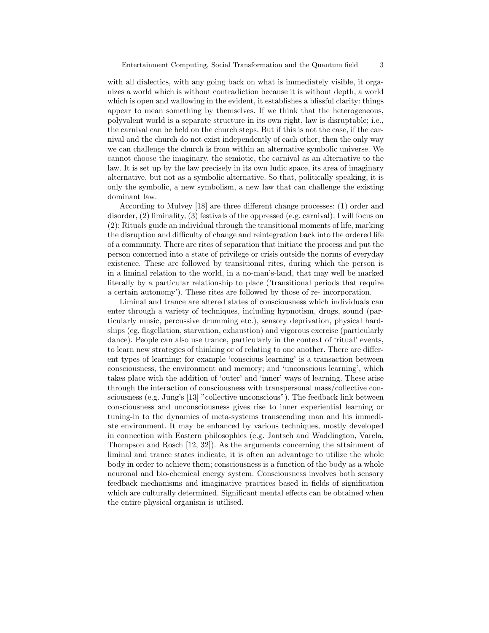with all dialectics, with any going back on what is immediately visible, it organizes a world which is without contradiction because it is without depth, a world which is open and wallowing in the evident, it establishes a blissful clarity: things appear to mean something by themselves. If we think that the heterogeneous, polyvalent world is a separate structure in its own right, law is disruptable; i.e., the carnival can be held on the church steps. But if this is not the case, if the carnival and the church do not exist independently of each other, then the only way we can challenge the church is from within an alternative symbolic universe. We cannot choose the imaginary, the semiotic, the carnival as an alternative to the law. It is set up by the law precisely in its own ludic space, its area of imaginary alternative, but not as a symbolic alternative. So that, politically speaking, it is only the symbolic, a new symbolism, a new law that can challenge the existing dominant law.

According to Mulvey [18] are three different change processes: (1) order and disorder, (2) liminality, (3) festivals of the oppressed (e.g. carnival). I will focus on (2): Rituals guide an individual through the transitional moments of life, marking the disruption and difficulty of change and reintegration back into the ordered life of a community. There are rites of separation that initiate the process and put the person concerned into a state of privilege or crisis outside the norms of everyday existence. These are followed by transitional rites, during which the person is in a liminal relation to the world, in a no-man's-land, that may well be marked literally by a particular relationship to place ('transitional periods that require a certain autonomy'). These rites are followed by those of re- incorporation.

Liminal and trance are altered states of consciousness which individuals can enter through a variety of techniques, including hypnotism, drugs, sound (particularly music, percussive drumming etc.), sensory deprivation, physical hardships (eg. flagellation, starvation, exhaustion) and vigorous exercise (particularly dance). People can also use trance, particularly in the context of 'ritual' events, to learn new strategies of thinking or of relating to one another. There are different types of learning: for example 'conscious learning' is a transaction between consciousness, the environment and memory; and 'unconscious learning', which takes place with the addition of 'outer' and 'inner' ways of learning. These arise through the interaction of consciousness with transpersonal mass/collective consciousness (e.g. Jung's [13] "collective unconscious"). The feedback link between consciousness and unconsciousness gives rise to inner experiential learning or tuning-in to the dynamics of meta-systems transcending man and his immediate environment. It may be enhanced by various techniques, mostly developed in connection with Eastern philosophies (e.g. Jantsch and Waddington, Varela, Thompson and Rosch [12, 32]). As the arguments concerning the attainment of liminal and trance states indicate, it is often an advantage to utilize the whole body in order to achieve them; consciousness is a function of the body as a whole neuronal and bio-chemical energy system. Consciousness involves both sensory feedback mechanisms and imaginative practices based in fields of signification which are culturally determined. Significant mental effects can be obtained when the entire physical organism is utilised.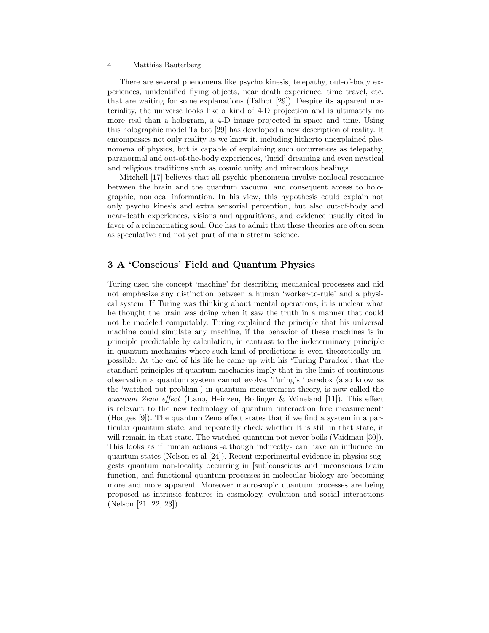#### 4 Matthias Rauterberg

There are several phenomena like psycho kinesis, telepathy, out-of-body experiences, unidentified flying objects, near death experience, time travel, etc. that are waiting for some explanations (Talbot [29]). Despite its apparent materiality, the universe looks like a kind of 4-D projection and is ultimately no more real than a hologram, a 4-D image projected in space and time. Using this holographic model Talbot [29] has developed a new description of reality. It encompasses not only reality as we know it, including hitherto unexplained phenomena of physics, but is capable of explaining such occurrences as telepathy, paranormal and out-of-the-body experiences, 'lucid' dreaming and even mystical and religious traditions such as cosmic unity and miraculous healings.

Mitchell [17] believes that all psychic phenomena involve nonlocal resonance between the brain and the quantum vacuum, and consequent access to holographic, nonlocal information. In his view, this hypothesis could explain not only psycho kinesis and extra sensorial perception, but also out-of-body and near-death experiences, visions and apparitions, and evidence usually cited in favor of a reincarnating soul. One has to admit that these theories are often seen as speculative and not yet part of main stream science.

# 3 A 'Conscious' Field and Quantum Physics

Turing used the concept 'machine' for describing mechanical processes and did not emphasize any distinction between a human 'worker-to-rule' and a physical system. If Turing was thinking about mental operations, it is unclear what he thought the brain was doing when it saw the truth in a manner that could not be modeled computably. Turing explained the principle that his universal machine could simulate any machine, if the behavior of these machines is in principle predictable by calculation, in contrast to the indeterminacy principle in quantum mechanics where such kind of predictions is even theoretically impossible. At the end of his life he came up with his 'Turing Paradox': that the standard principles of quantum mechanics imply that in the limit of continuous observation a quantum system cannot evolve. Turing's 'paradox (also know as the 'watched pot problem') in quantum measurement theory, is now called the quantum Zeno effect (Itano, Heinzen, Bollinger & Wineland [11]). This effect is relevant to the new technology of quantum 'interaction free measurement' (Hodges [9]). The quantum Zeno effect states that if we find a system in a particular quantum state, and repeatedly check whether it is still in that state, it will remain in that state. The watched quantum pot never boils (Vaidman [30]). This looks as if human actions -although indirectly- can have an influence on quantum states (Nelson et al [24]). Recent experimental evidence in physics suggests quantum non-locality occurring in [sub]conscious and unconscious brain function, and functional quantum processes in molecular biology are becoming more and more apparent. Moreover macroscopic quantum processes are being proposed as intrinsic features in cosmology, evolution and social interactions (Nelson [21, 22, 23]).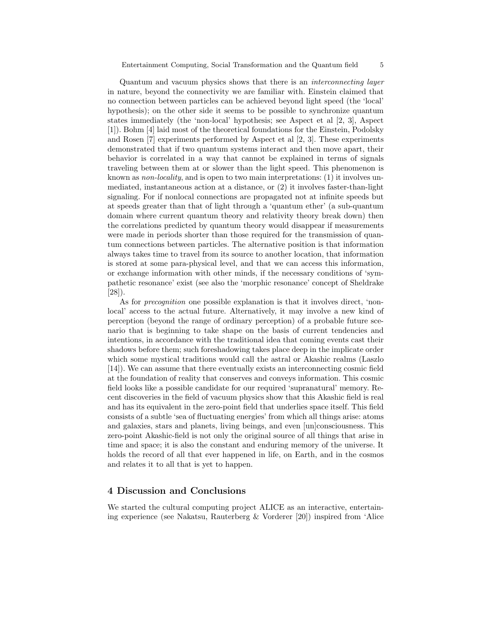Quantum and vacuum physics shows that there is an interconnecting layer in nature, beyond the connectivity we are familiar with. Einstein claimed that no connection between particles can be achieved beyond light speed (the 'local' hypothesis); on the other side it seems to be possible to synchronize quantum states immediately (the 'non-local' hypothesis; see Aspect et al [2, 3], Aspect [1]). Bohm [4] laid most of the theoretical foundations for the Einstein, Podolsky and Rosen [7] experiments performed by Aspect et al [2, 3]. These experiments demonstrated that if two quantum systems interact and then move apart, their behavior is correlated in a way that cannot be explained in terms of signals traveling between them at or slower than the light speed. This phenomenon is known as non-locality, and is open to two main interpretations: (1) it involves unmediated, instantaneous action at a distance, or (2) it involves faster-than-light signaling. For if nonlocal connections are propagated not at infinite speeds but at speeds greater than that of light through a 'quantum ether' (a sub-quantum domain where current quantum theory and relativity theory break down) then the correlations predicted by quantum theory would disappear if measurements were made in periods shorter than those required for the transmission of quantum connections between particles. The alternative position is that information always takes time to travel from its source to another location, that information is stored at some para-physical level, and that we can access this information, or exchange information with other minds, if the necessary conditions of 'sympathetic resonance' exist (see also the 'morphic resonance' concept of Sheldrake [28]).

As for precognition one possible explanation is that it involves direct, 'nonlocal' access to the actual future. Alternatively, it may involve a new kind of perception (beyond the range of ordinary perception) of a probable future scenario that is beginning to take shape on the basis of current tendencies and intentions, in accordance with the traditional idea that coming events cast their shadows before them; such foreshadowing takes place deep in the implicate order which some mystical traditions would call the astral or Akashic realms (Laszlo [14]). We can assume that there eventually exists an interconnecting cosmic field at the foundation of reality that conserves and conveys information. This cosmic field looks like a possible candidate for our required 'supranatural' memory. Recent discoveries in the field of vacuum physics show that this Akashic field is real and has its equivalent in the zero-point field that underlies space itself. This field consists of a subtle 'sea of fluctuating energies' from which all things arise: atoms and galaxies, stars and planets, living beings, and even [un]consciousness. This zero-point Akashic-field is not only the original source of all things that arise in time and space; it is also the constant and enduring memory of the universe. It holds the record of all that ever happened in life, on Earth, and in the cosmos and relates it to all that is yet to happen.

### 4 Discussion and Conclusions

We started the cultural computing project ALICE as an interactive, entertaining experience (see Nakatsu, Rauterberg & Vorderer [20]) inspired from 'Alice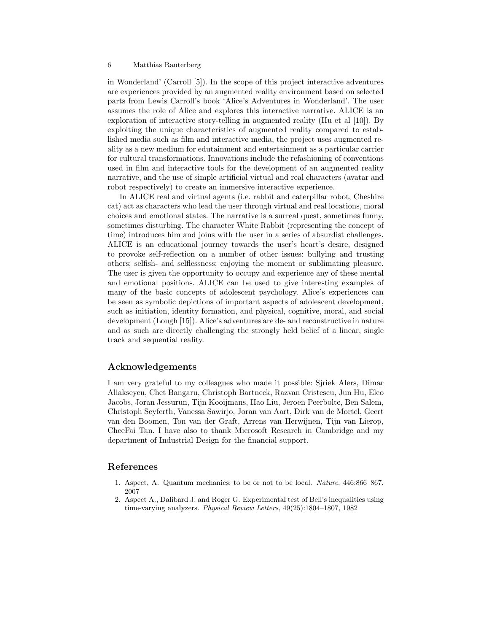#### 6 Matthias Rauterberg

in Wonderland' (Carroll [5]). In the scope of this project interactive adventures are experiences provided by an augmented reality environment based on selected parts from Lewis Carroll's book 'Alice's Adventures in Wonderland'. The user assumes the role of Alice and explores this interactive narrative. ALICE is an exploration of interactive story-telling in augmented reality (Hu et al [10]). By exploiting the unique characteristics of augmented reality compared to established media such as film and interactive media, the project uses augmented reality as a new medium for edutainment and entertainment as a particular carrier for cultural transformations. Innovations include the refashioning of conventions used in film and interactive tools for the development of an augmented reality narrative, and the use of simple artificial virtual and real characters (avatar and robot respectively) to create an immersive interactive experience.

In ALICE real and virtual agents (i.e. rabbit and caterpillar robot, Cheshire cat) act as characters who lead the user through virtual and real locations, moral choices and emotional states. The narrative is a surreal quest, sometimes funny, sometimes disturbing. The character White Rabbit (representing the concept of time) introduces him and joins with the user in a series of absurdist challenges. ALICE is an educational journey towards the user's heart's desire, designed to provoke self-reflection on a number of other issues: bullying and trusting others; selfish- and selflessness; enjoying the moment or sublimating pleasure. The user is given the opportunity to occupy and experience any of these mental and emotional positions. ALICE can be used to give interesting examples of many of the basic concepts of adolescent psychology. Alice's experiences can be seen as symbolic depictions of important aspects of adolescent development, such as initiation, identity formation, and physical, cognitive, moral, and social development (Lough [15]). Alice's adventures are de- and reconstructive in nature and as such are directly challenging the strongly held belief of a linear, single track and sequential reality.

# Acknowledgements

I am very grateful to my colleagues who made it possible: Sjriek Alers, Dimar Aliakseyeu, Chet Bangaru, Christoph Bartneck, Razvan Cristescu, Jun Hu, Elco Jacobs, Joran Jessurun, Tijn Kooijmans, Hao Liu, Jeroen Peerbolte, Ben Salem, Christoph Seyferth, Vanessa Sawirjo, Joran van Aart, Dirk van de Mortel, Geert van den Boomen, Ton van der Graft, Arrens van Herwijnen, Tijn van Lierop, CheeFai Tan. I have also to thank Microsoft Research in Cambridge and my department of Industrial Design for the financial support.

## References

- 1. Aspect, A. Quantum mechanics: to be or not to be local. Nature, 446:866–867, 2007
- 2. Aspect A., Dalibard J. and Roger G. Experimental test of Bell's inequalities using time-varying analyzers. Physical Review Letters, 49(25):1804–1807, 1982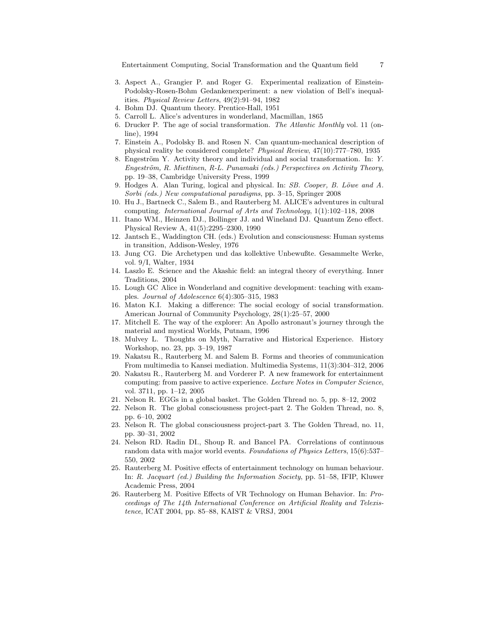Entertainment Computing, Social Transformation and the Quantum field 7

- 3. Aspect A., Grangier P. and Roger G. Experimental realization of Einstein-Podolsky-Rosen-Bohm Gedankenexperiment: a new violation of Bell's inequalities. Physical Review Letters, 49(2):91–94, 1982
- 4. Bohm DJ. Quantum theory. Prentice-Hall, 1951
- 5. Carroll L. Alice's adventures in wonderland, Macmillan, 1865
- 6. Drucker P. The age of social transformation. The Atlantic Monthly vol. 11 (online), 1994
- 7. Einstein A., Podolsky B. and Rosen N. Can quantum-mechanical description of physical reality be considered complete? Physical Review, 47(10):777–780, 1935
- 8. Engeström Y. Activity theory and individual and social transformation. In: Y. Engeström, R. Miettinen, R-L. Punamaki (eds.) Perspectives on Activity Theory, pp. 19–38, Cambridge University Press, 1999
- 9. Hodges A. Alan Turing, logical and physical. In: SB. Cooper, B. Löwe and A. Sorbi (eds.) New computational paradigms, pp. 3–15, Springer 2008
- 10. Hu J., Bartneck C., Salem B., and Rauterberg M. ALICE's adventures in cultural computing. International Journal of Arts and Technology, 1(1):102–118, 2008
- 11. Itano WM., Heinzen DJ., Bollinger JJ. and Wineland DJ. Quantum Zeno effect. Physical Review A, 41(5):2295–2300, 1990
- 12. Jantsch E., Waddington CH. (eds.) Evolution and consciousness: Human systems in transition, Addison-Wesley, 1976
- 13. Jung CG. Die Archetypen und das kollektive Unbewußte. Gesammelte Werke, vol. 9/I, Walter, 1934
- 14. Laszlo E. Science and the Akashic field: an integral theory of everything. Inner Traditions, 2004
- 15. Lough GC Alice in Wonderland and cognitive development: teaching with examples. Journal of Adolescence 6(4):305–315, 1983
- 16. Maton K.I. Making a difference: The social ecology of social transformation. American Journal of Community Psychology, 28(1):25–57, 2000
- 17. Mitchell E. The way of the explorer: An Apollo astronaut's journey through the material and mystical Worlds, Putnam, 1996
- 18. Mulvey L. Thoughts on Myth, Narrative and Historical Experience. History Workshop, no. 23, pp. 3–19, 1987
- 19. Nakatsu R., Rauterberg M. and Salem B. Forms and theories of communication From multimedia to Kansei mediation. Multimedia Systems, 11(3):304–312, 2006
- 20. Nakatsu R., Rauterberg M. and Vorderer P. A new framework for entertainment computing: from passive to active experience. Lecture Notes in Computer Science, vol. 3711, pp. 1–12, 2005
- 21. Nelson R. EGGs in a global basket. The Golden Thread no. 5, pp. 8–12, 2002
- 22. Nelson R. The global consciousness project-part 2. The Golden Thread, no. 8, pp. 6–10, 2002
- 23. Nelson R. The global consciousness project-part 3. The Golden Thread, no. 11, pp. 30–31, 2002
- 24. Nelson RD. Radin DI., Shoup R. and Bancel PA. Correlations of continuous random data with major world events. Foundations of Physics Letters, 15(6):537– 550, 2002
- 25. Rauterberg M. Positive effects of entertainment technology on human behaviour. In: R. Jacquart (ed.) Building the Information Society, pp. 51–58, IFIP, Kluwer Academic Press, 2004
- 26. Rauterberg M. Positive Effects of VR Technology on Human Behavior. In: Proceedings of The 14th International Conference on Artificial Reality and Telexistence, ICAT 2004, pp. 85–88, KAIST & VRSJ, 2004